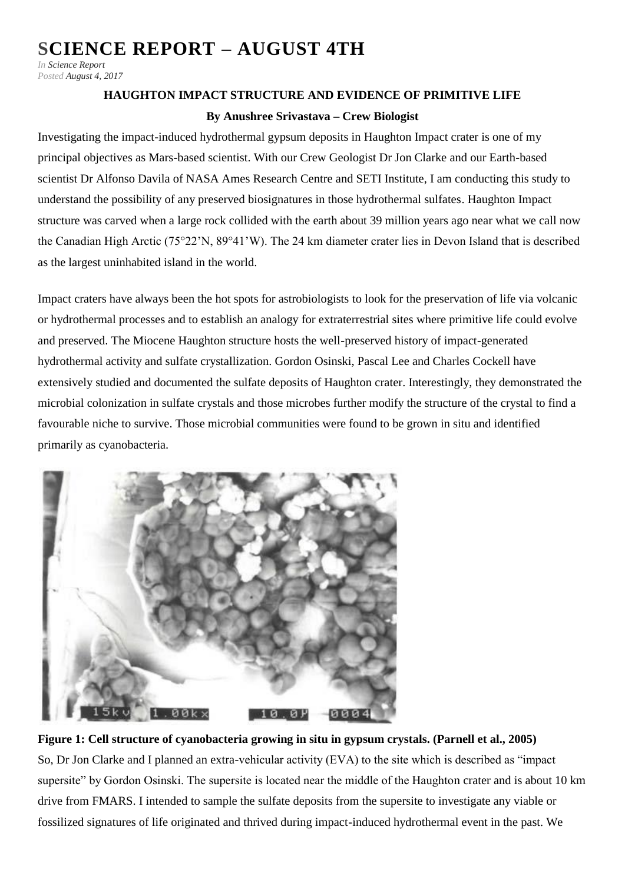## **[SCIENCE REPORT –](http://fmars.marssociety.org/2017/08/04/science-report-august-4th/) AUGUST 4TH**

*In [Science Report](http://fmars.marssociety.org/category/science-report/) Posted [August 4, 2017](http://fmars.marssociety.org/2017/08/)*

## **HAUGHTON IMPACT STRUCTURE AND EVIDENCE OF PRIMITIVE LIFE**

## **By Anushree Srivastava – Crew Biologist**

Investigating the impact-induced hydrothermal gypsum deposits in Haughton Impact crater is one of my principal objectives as Mars-based scientist. With our Crew Geologist Dr Jon Clarke and our Earth-based scientist Dr Alfonso Davila of NASA Ames Research Centre and SETI Institute, I am conducting this study to understand the possibility of any preserved biosignatures in those hydrothermal sulfates. Haughton Impact structure was carved when a large rock collided with the earth about 39 million years ago near what we call now the Canadian High Arctic (75°22'N, 89°41'W). The 24 km diameter crater lies in Devon Island that is described as the largest uninhabited island in the world.

Impact craters have always been the hot spots for astrobiologists to look for the preservation of life via volcanic or hydrothermal processes and to establish an analogy for extraterrestrial sites where primitive life could evolve and preserved. The Miocene Haughton structure hosts the well-preserved history of impact-generated hydrothermal activity and sulfate crystallization. Gordon Osinski, Pascal Lee and Charles Cockell have extensively studied and documented the sulfate deposits of Haughton crater. Interestingly, they demonstrated the microbial colonization in sulfate crystals and those microbes further modify the structure of the crystal to find a favourable niche to survive. Those microbial communities were found to be grown in situ and identified primarily as cyanobacteria.



**Figure 1: Cell structure of cyanobacteria growing in situ in gypsum crystals. (Parnell et al., 2005)** So, Dr Jon Clarke and I planned an extra-vehicular activity (EVA) to the site which is described as "impact supersite" by Gordon Osinski. The supersite is located near the middle of the Haughton crater and is about 10 km drive from FMARS. I intended to sample the sulfate deposits from the supersite to investigate any viable or fossilized signatures of life originated and thrived during impact-induced hydrothermal event in the past. We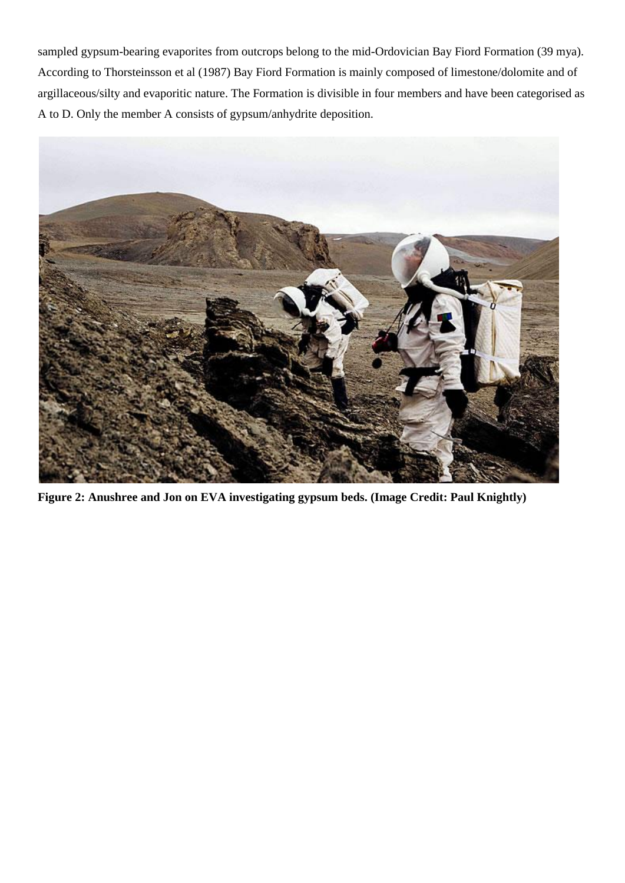sampled gypsum-bearing evaporites from outcrops belong to the mid-Ordovician Bay Fiord Formation (39 mya). According to Thorsteinsson et al (1987) Bay Fiord Formation is mainly composed of limestone/dolomite and of argillaceous/silty and evaporitic nature. The Formation is divisible in four members and have been categorised as A to D. Only the member A consists of gypsum/anhydrite deposition.



**Figure 2: Anushree and Jon on EVA investigating gypsum beds. (Image Credit: Paul Knightly)**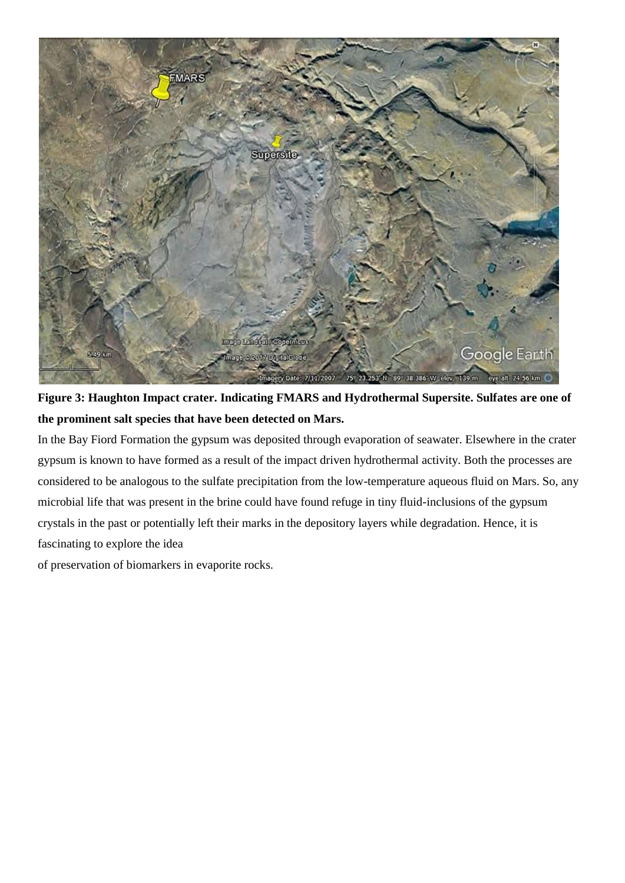

**Figure 3: Haughton Impact crater. Indicating FMARS and Hydrothermal Supersite. Sulfates are one of the prominent salt species that have been detected on Mars.**

In the Bay Fiord Formation the gypsum was deposited through evaporation of seawater. Elsewhere in the crater gypsum is known to have formed as a result of the impact driven hydrothermal activity. Both the processes are considered to be analogous to the sulfate precipitation from the low-temperature aqueous fluid on Mars. So, any microbial life that was present in the brine could have found refuge in tiny fluid-inclusions of the gypsum crystals in the past or potentially left their marks in the depository layers while degradation. Hence, it is fascinating to explore the idea

of preservation of biomarkers in evaporite rocks.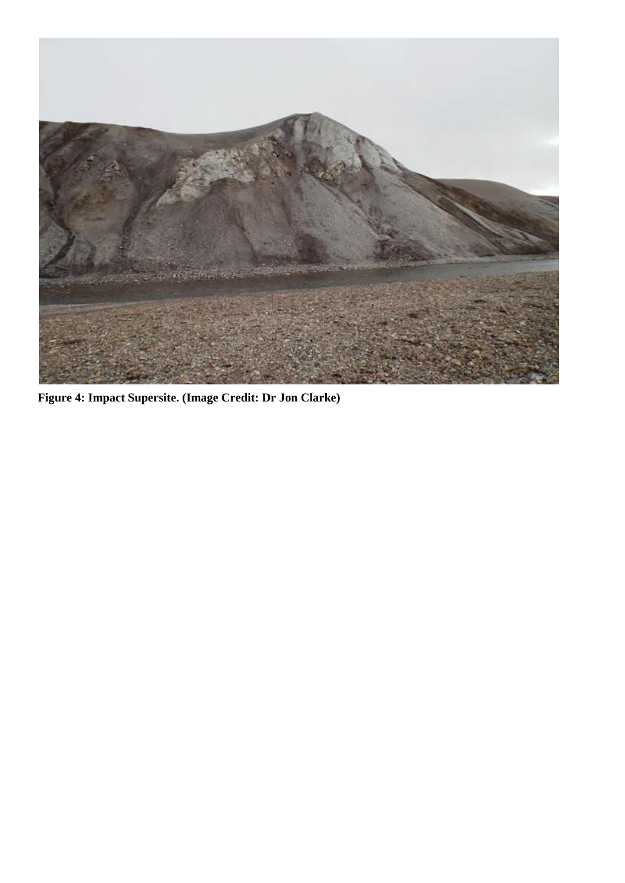

**Figure 4: Impact Supersite. (Image Credit: Dr Jon Clarke)**